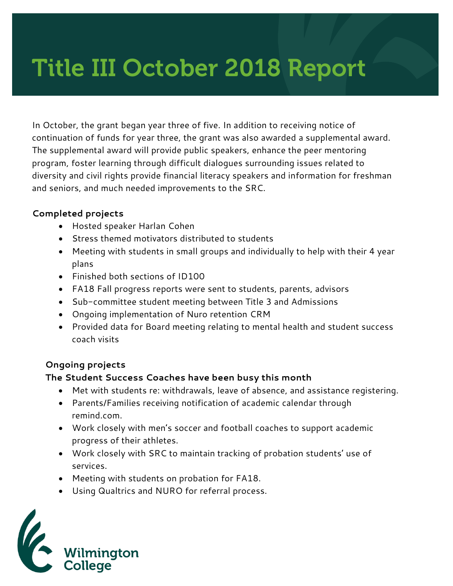# Title III October 2018 Report

In October, the grant began year three of five. In addition to receiving notice of continuation of funds for year three, the grant was also awarded a supplemental award. The supplemental award will provide public speakers, enhance the peer mentoring program, foster learning through difficult dialogues surrounding issues related to diversity and civil rights provide financial literacy speakers and information for freshman and seniors, and much needed improvements to the SRC.

#### **Completed projects**

- Hosted speaker Harlan Cohen
- Stress themed motivators distributed to students
- Meeting with students in small groups and individually to help with their 4 year plans
- Finished both sections of ID100
- FA18 Fall progress reports were sent to students, parents, advisors
- Sub-committee student meeting between Title 3 and Admissions
- Ongoing implementation of Nuro retention CRM
- Provided data for Board meeting relating to mental health and student success coach visits

## **Ongoing projects**

#### **The Student Success Coaches have been busy this month**

- Met with students re: withdrawals, leave of absence, and assistance registering.
- Parents/Families receiving notification of academic calendar through remind.com.
- Work closely with men's soccer and football coaches to support academic progress of their athletes.
- Work closely with SRC to maintain tracking of probation students' use of services.
- Meeting with students on probation for FA18.
- Using Qualtrics and NURO for referral process.

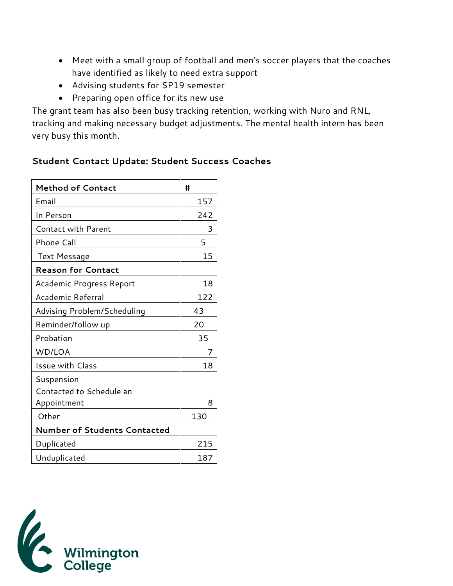- Meet with a small group of football and men's soccer players that the coaches have identified as likely to need extra support
- Advising students for SP19 semester
- Preparing open office for its new use

The grant team has also been busy tracking retention, working with Nuro and RNL, tracking and making necessary budget adjustments. The mental health intern has been very busy this month.

# **Student Contact Update: Student Success Coaches**

| <b>Method of Contact</b>            | #   |
|-------------------------------------|-----|
| Email                               | 157 |
| In Person                           | 242 |
| <b>Contact with Parent</b>          | 3   |
| Phone Call                          | 5   |
| <b>Text Message</b>                 | 15  |
| <b>Reason for Contact</b>           |     |
| Academic Progress Report            | 18  |
| Academic Referral                   | 122 |
| Advising Problem/Scheduling         | 43  |
| Reminder/follow up                  | 20  |
| Probation                           | 35  |
| WD/LOA                              | 7   |
| <b>Issue with Class</b>             | 18  |
| Suspension                          |     |
| Contacted to Schedule an            |     |
| Appointment                         | 8   |
| Other                               | 130 |
| <b>Number of Students Contacted</b> |     |
| Duplicated                          | 215 |
| Unduplicated                        | 187 |